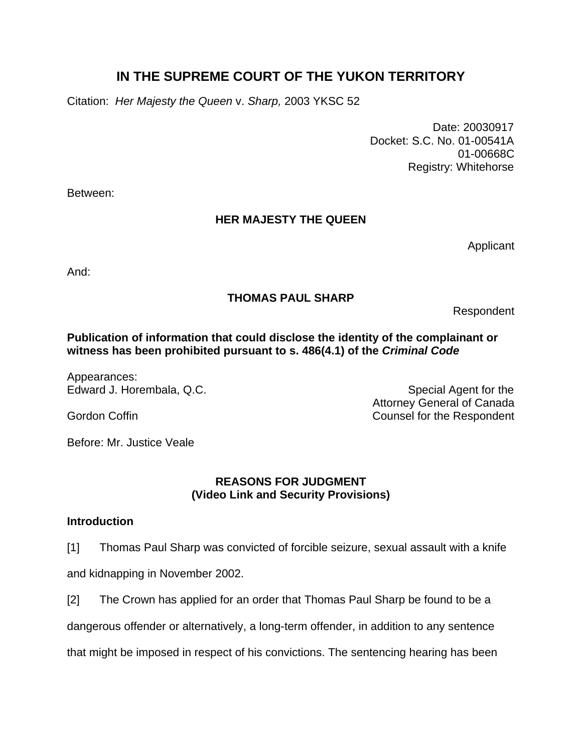# **IN THE SUPREME COURT OF THE YUKON TERRITORY**

Citation: *Her Majesty the Queen* v. *Sharp,* 2003 YKSC 52

 Date: 20030917 Docket: S.C. No. 01-00541A 01-00668C Registry: Whitehorse

Between:

### **HER MAJESTY THE QUEEN**

Applicant

And:

## **THOMAS PAUL SHARP**

Respondent

### **Publication of information that could disclose the identity of the complainant or witness has been prohibited pursuant to s. 486(4.1) of the** *Criminal Code*

Appearances:

Edward J. Horembala, Q.C. Special Agent for the Special Agent for the Attorney General of Canada Gordon Coffin **Counsel for the Respondent** 

Before: Mr. Justice Veale

### **REASONS FOR JUDGMENT (Video Link and Security Provisions)**

### **Introduction**

- [1] Thomas Paul Sharp was convicted of forcible seizure, sexual assault with a knife and kidnapping in November 2002.
- [2] The Crown has applied for an order that Thomas Paul Sharp be found to be a

dangerous offender or alternatively, a long-term offender, in addition to any sentence

that might be imposed in respect of his convictions. The sentencing hearing has been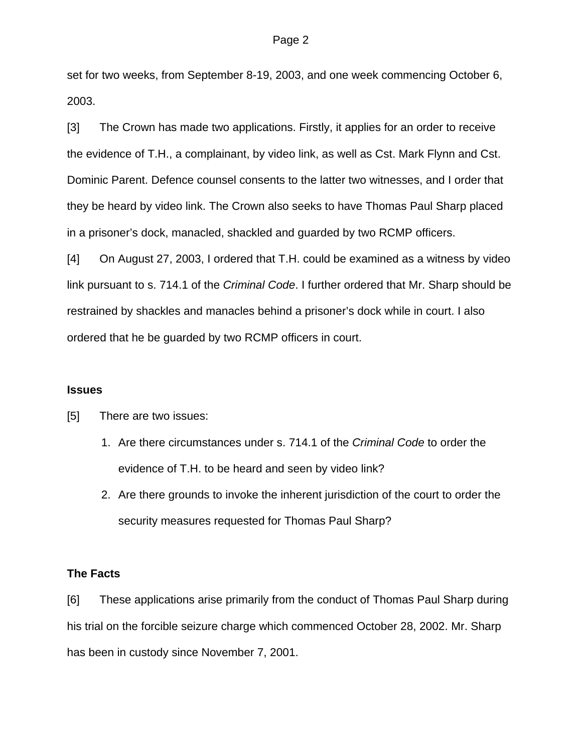set for two weeks, from September 8-19, 2003, and one week commencing October 6, 2003.

[3] The Crown has made two applications. Firstly, it applies for an order to receive the evidence of T.H., a complainant, by video link, as well as Cst. Mark Flynn and Cst. Dominic Parent. Defence counsel consents to the latter two witnesses, and I order that they be heard by video link. The Crown also seeks to have Thomas Paul Sharp placed in a prisoner's dock, manacled, shackled and guarded by two RCMP officers.

[4] On August 27, 2003, I ordered that T.H. could be examined as a witness by video link pursuant to s. 714.1 of the *Criminal Code*. I further ordered that Mr. Sharp should be restrained by shackles and manacles behind a prisoner's dock while in court. I also ordered that he be guarded by two RCMP officers in court.

### **Issues**

[5] There are two issues:

- 1. Are there circumstances under s. 714.1 of the *Criminal Code* to order the evidence of T.H. to be heard and seen by video link?
- 2. Are there grounds to invoke the inherent jurisdiction of the court to order the security measures requested for Thomas Paul Sharp?

### **The Facts**

[6] These applications arise primarily from the conduct of Thomas Paul Sharp during his trial on the forcible seizure charge which commenced October 28, 2002. Mr. Sharp has been in custody since November 7, 2001.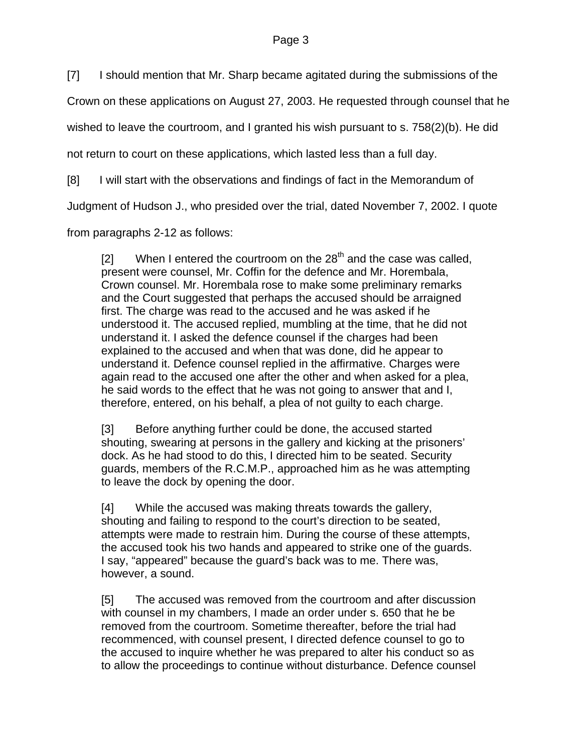[7] I should mention that Mr. Sharp became agitated during the submissions of the

Crown on these applications on August 27, 2003. He requested through counsel that he

wished to leave the courtroom, and I granted his wish pursuant to s. 758(2)(b). He did

not return to court on these applications, which lasted less than a full day.

[8] I will start with the observations and findings of fact in the Memorandum of

Judgment of Hudson J., who presided over the trial, dated November 7, 2002. I quote

from paragraphs 2-12 as follows:

[2] When I entered the courtroom on the  $28<sup>th</sup>$  and the case was called, present were counsel, Mr. Coffin for the defence and Mr. Horembala, Crown counsel. Mr. Horembala rose to make some preliminary remarks and the Court suggested that perhaps the accused should be arraigned first. The charge was read to the accused and he was asked if he understood it. The accused replied, mumbling at the time, that he did not understand it. I asked the defence counsel if the charges had been explained to the accused and when that was done, did he appear to understand it. Defence counsel replied in the affirmative. Charges were again read to the accused one after the other and when asked for a plea, he said words to the effect that he was not going to answer that and I, therefore, entered, on his behalf, a plea of not guilty to each charge.

[3] Before anything further could be done, the accused started shouting, swearing at persons in the gallery and kicking at the prisoners' dock. As he had stood to do this, I directed him to be seated. Security guards, members of the R.C.M.P., approached him as he was attempting to leave the dock by opening the door.

[4] While the accused was making threats towards the gallery, shouting and failing to respond to the court's direction to be seated, attempts were made to restrain him. During the course of these attempts, the accused took his two hands and appeared to strike one of the guards. I say, "appeared" because the guard's back was to me. There was, however, a sound.

[5] The accused was removed from the courtroom and after discussion with counsel in my chambers, I made an order under s. 650 that he be removed from the courtroom. Sometime thereafter, before the trial had recommenced, with counsel present, I directed defence counsel to go to the accused to inquire whether he was prepared to alter his conduct so as to allow the proceedings to continue without disturbance. Defence counsel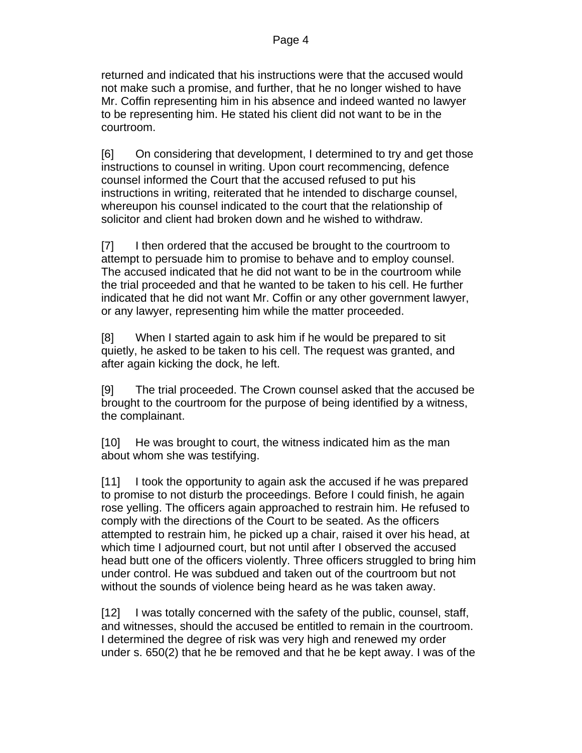returned and indicated that his instructions were that the accused would not make such a promise, and further, that he no longer wished to have Mr. Coffin representing him in his absence and indeed wanted no lawyer to be representing him. He stated his client did not want to be in the courtroom.

[6] On considering that development, I determined to try and get those instructions to counsel in writing. Upon court recommencing, defence counsel informed the Court that the accused refused to put his instructions in writing, reiterated that he intended to discharge counsel, whereupon his counsel indicated to the court that the relationship of solicitor and client had broken down and he wished to withdraw.

[7] I then ordered that the accused be brought to the courtroom to attempt to persuade him to promise to behave and to employ counsel. The accused indicated that he did not want to be in the courtroom while the trial proceeded and that he wanted to be taken to his cell. He further indicated that he did not want Mr. Coffin or any other government lawyer, or any lawyer, representing him while the matter proceeded.

[8] When I started again to ask him if he would be prepared to sit quietly, he asked to be taken to his cell. The request was granted, and after again kicking the dock, he left.

[9] The trial proceeded. The Crown counsel asked that the accused be brought to the courtroom for the purpose of being identified by a witness, the complainant.

[10] He was brought to court, the witness indicated him as the man about whom she was testifying.

[11] I took the opportunity to again ask the accused if he was prepared to promise to not disturb the proceedings. Before I could finish, he again rose yelling. The officers again approached to restrain him. He refused to comply with the directions of the Court to be seated. As the officers attempted to restrain him, he picked up a chair, raised it over his head, at which time I adjourned court, but not until after I observed the accused head butt one of the officers violently. Three officers struggled to bring him under control. He was subdued and taken out of the courtroom but not without the sounds of violence being heard as he was taken away.

[12] I was totally concerned with the safety of the public, counsel, staff, and witnesses, should the accused be entitled to remain in the courtroom. I determined the degree of risk was very high and renewed my order under s. 650(2) that he be removed and that he be kept away. I was of the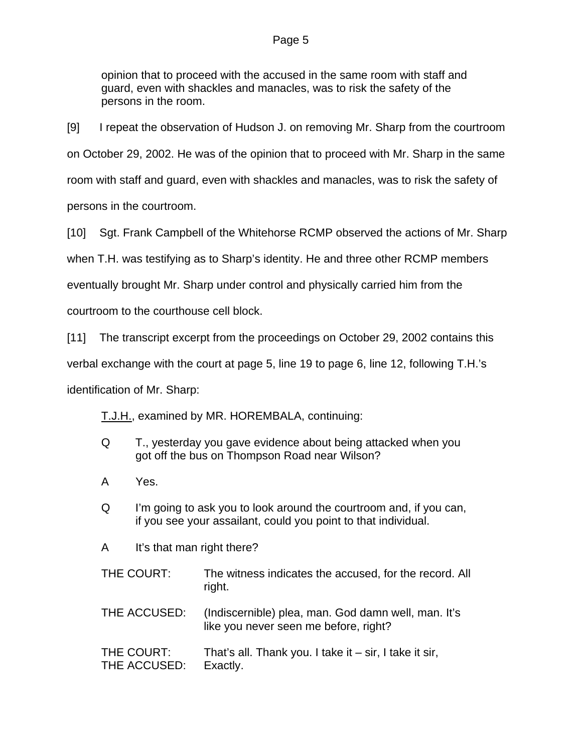opinion that to proceed with the accused in the same room with staff and guard, even with shackles and manacles, was to risk the safety of the persons in the room.

[9] I repeat the observation of Hudson J. on removing Mr. Sharp from the courtroom on October 29, 2002. He was of the opinion that to proceed with Mr. Sharp in the same room with staff and guard, even with shackles and manacles, was to risk the safety of persons in the courtroom.

[10] Sgt. Frank Campbell of the Whitehorse RCMP observed the actions of Mr. Sharp

when T.H. was testifying as to Sharp's identity. He and three other RCMP members

eventually brought Mr. Sharp under control and physically carried him from the

courtroom to the courthouse cell block.

[11] The transcript excerpt from the proceedings on October 29, 2002 contains this

verbal exchange with the court at page 5, line 19 to page 6, line 12, following T.H.'s

identification of Mr. Sharp:

T.J.H., examined by MR. HOREMBALA, continuing:

- Q T., yesterday you gave evidence about being attacked when you got off the bus on Thompson Road near Wilson?
- A Yes.
- Q I'm going to ask you to look around the courtroom and, if you can, if you see your assailant, could you point to that individual.
- A It's that man right there?
- THE COURT: The witness indicates the accused, for the record. All right.
- THE ACCUSED: (Indiscernible) plea, man. God damn well, man. It's like you never seen me before, right?
- THE COURT: That's all. Thank you. I take it sir, I take it sir, THE ACCUSED: Exactly.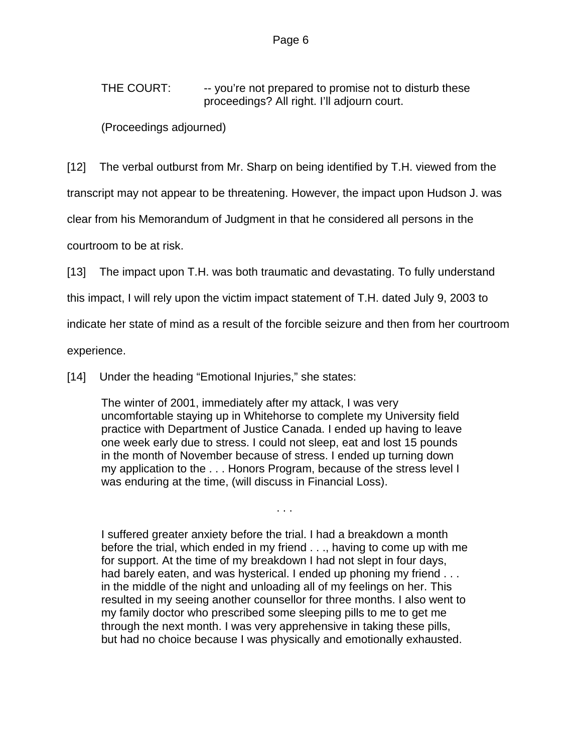THE COURT: - you're not prepared to promise not to disturb these proceedings? All right. I'll adjourn court.

(Proceedings adjourned)

[12] The verbal outburst from Mr. Sharp on being identified by T.H. viewed from the

transcript may not appear to be threatening. However, the impact upon Hudson J. was

clear from his Memorandum of Judgment in that he considered all persons in the

courtroom to be at risk.

[13] The impact upon T.H. was both traumatic and devastating. To fully understand

this impact, I will rely upon the victim impact statement of T.H. dated July 9, 2003 to

indicate her state of mind as a result of the forcible seizure and then from her courtroom

experience.

[14] Under the heading "Emotional Injuries," she states:

The winter of 2001, immediately after my attack, I was very uncomfortable staying up in Whitehorse to complete my University field practice with Department of Justice Canada. I ended up having to leave one week early due to stress. I could not sleep, eat and lost 15 pounds in the month of November because of stress. I ended up turning down my application to the . . . Honors Program, because of the stress level I was enduring at the time, (will discuss in Financial Loss).

. . .

I suffered greater anxiety before the trial. I had a breakdown a month before the trial, which ended in my friend . . ., having to come up with me for support. At the time of my breakdown I had not slept in four days, had barely eaten, and was hysterical. I ended up phoning my friend . . . in the middle of the night and unloading all of my feelings on her. This resulted in my seeing another counsellor for three months. I also went to my family doctor who prescribed some sleeping pills to me to get me through the next month. I was very apprehensive in taking these pills, but had no choice because I was physically and emotionally exhausted.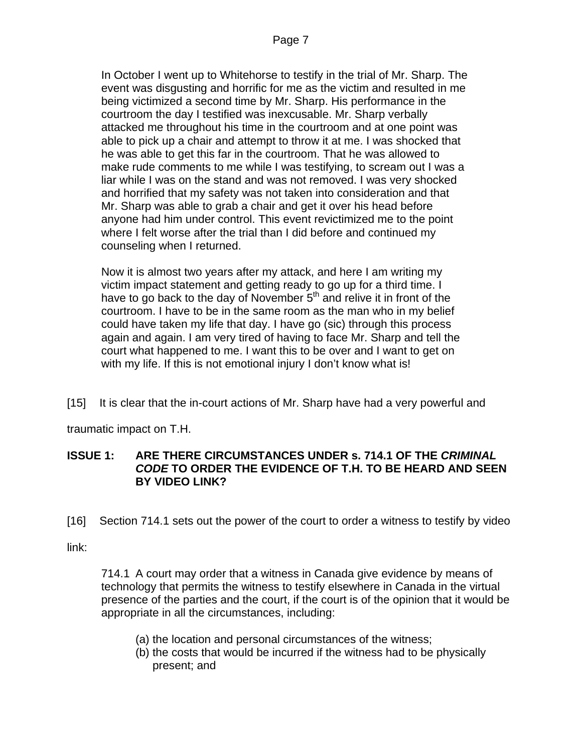In October I went up to Whitehorse to testify in the trial of Mr. Sharp. The event was disgusting and horrific for me as the victim and resulted in me being victimized a second time by Mr. Sharp. His performance in the courtroom the day I testified was inexcusable. Mr. Sharp verbally attacked me throughout his time in the courtroom and at one point was able to pick up a chair and attempt to throw it at me. I was shocked that he was able to get this far in the courtroom. That he was allowed to make rude comments to me while I was testifying, to scream out I was a liar while I was on the stand and was not removed. I was very shocked and horrified that my safety was not taken into consideration and that Mr. Sharp was able to grab a chair and get it over his head before anyone had him under control. This event revictimized me to the point where I felt worse after the trial than I did before and continued my counseling when I returned.

Now it is almost two years after my attack, and here I am writing my victim impact statement and getting ready to go up for a third time. I have to go back to the day of November  $5<sup>th</sup>$  and relive it in front of the courtroom. I have to be in the same room as the man who in my belief could have taken my life that day. I have go (sic) through this process again and again. I am very tired of having to face Mr. Sharp and tell the court what happened to me. I want this to be over and I want to get on with my life. If this is not emotional injury I don't know what is!

[15] It is clear that the in-court actions of Mr. Sharp have had a very powerful and

traumatic impact on T.H.

### **ISSUE 1: ARE THERE CIRCUMSTANCES UNDER s. 714.1 OF THE** *CRIMINAL CODE* **TO ORDER THE EVIDENCE OF T.H. TO BE HEARD AND SEEN BY VIDEO LINK?**

[16] Section 714.1 sets out the power of the court to order a witness to testify by video

link:

714.1 A court may order that a witness in Canada give evidence by means of technology that permits the witness to testify elsewhere in Canada in the virtual presence of the parties and the court, if the court is of the opinion that it would be appropriate in all the circumstances, including:

- (a) the location and personal circumstances of the witness;
- (b) the costs that would be incurred if the witness had to be physically present; and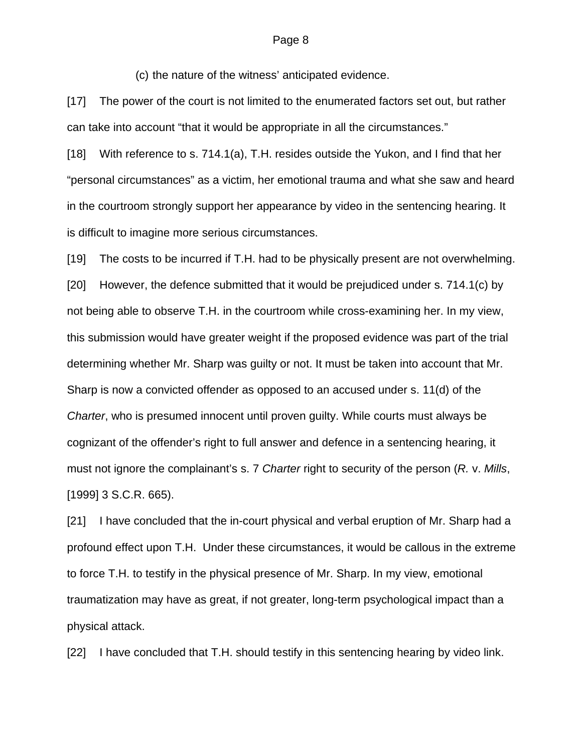#### Page 8

(c) the nature of the witness' anticipated evidence.

[17] The power of the court is not limited to the enumerated factors set out, but rather can take into account "that it would be appropriate in all the circumstances."

[18] With reference to s. 714.1(a), T.H. resides outside the Yukon, and I find that her "personal circumstances" as a victim, her emotional trauma and what she saw and heard in the courtroom strongly support her appearance by video in the sentencing hearing. It is difficult to imagine more serious circumstances.

[19] The costs to be incurred if T.H. had to be physically present are not overwhelming. [20] However, the defence submitted that it would be prejudiced under s. 714.1(c) by not being able to observe T.H. in the courtroom while cross-examining her. In my view, this submission would have greater weight if the proposed evidence was part of the trial determining whether Mr. Sharp was guilty or not. It must be taken into account that Mr. Sharp is now a convicted offender as opposed to an accused under s. 11(d) of the *Charter*, who is presumed innocent until proven guilty. While courts must always be cognizant of the offender's right to full answer and defence in a sentencing hearing, it must not ignore the complainant's s. 7 *Charter* right to security of the person (*R.* v. *Mills*, [1999] 3 S.C.R. 665).

[21] I have concluded that the in-court physical and verbal eruption of Mr. Sharp had a profound effect upon T.H. Under these circumstances, it would be callous in the extreme to force T.H. to testify in the physical presence of Mr. Sharp. In my view, emotional traumatization may have as great, if not greater, long-term psychological impact than a physical attack.

[22] I have concluded that T.H. should testify in this sentencing hearing by video link.